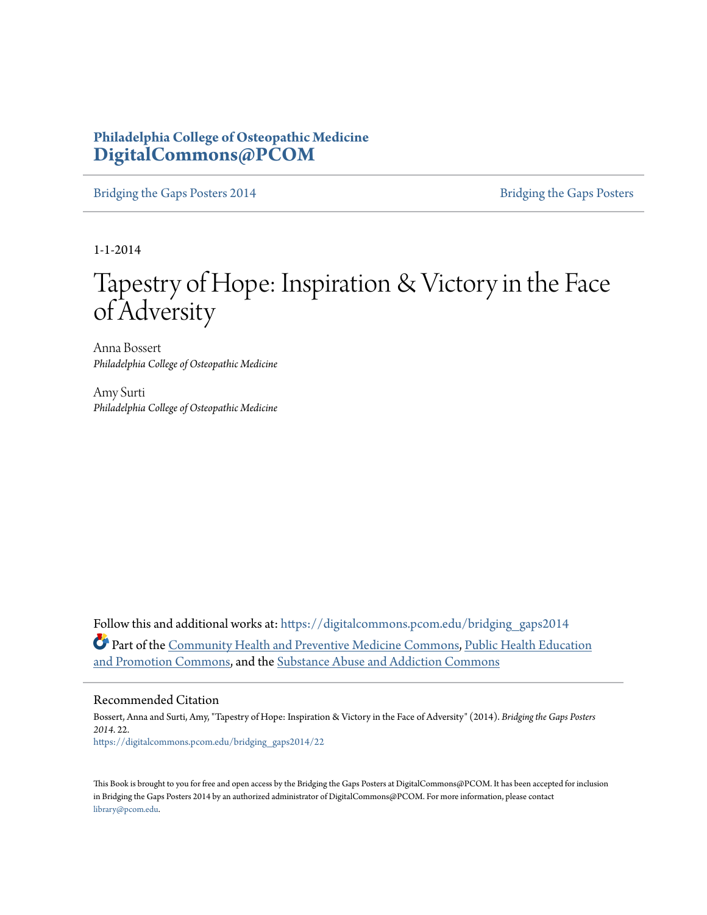#### **Philadelphia College of Osteopathic Medicine [DigitalCommons@PCOM](https://digitalcommons.pcom.edu?utm_source=digitalcommons.pcom.edu%2Fbridging_gaps2014%2F22&utm_medium=PDF&utm_campaign=PDFCoverPages)**

[Bridging the Gaps Posters 2014](https://digitalcommons.pcom.edu/bridging_gaps2014?utm_source=digitalcommons.pcom.edu%2Fbridging_gaps2014%2F22&utm_medium=PDF&utm_campaign=PDFCoverPages) [Bridging the Gaps Posters](https://digitalcommons.pcom.edu/bridging_gaps?utm_source=digitalcommons.pcom.edu%2Fbridging_gaps2014%2F22&utm_medium=PDF&utm_campaign=PDFCoverPages)

1-1-2014

### Tapestry of Hope: Inspiration & Victory in the Face of Adversity

Anna Bossert *Philadelphia College of Osteopathic Medicine*

Amy Surti *Philadelphia College of Osteopathic Medicine*

Follow this and additional works at: [https://digitalcommons.pcom.edu/bridging\\_gaps2014](https://digitalcommons.pcom.edu/bridging_gaps2014?utm_source=digitalcommons.pcom.edu%2Fbridging_gaps2014%2F22&utm_medium=PDF&utm_campaign=PDFCoverPages) Part of the [Community Health and Preventive Medicine Commons,](http://network.bepress.com/hgg/discipline/744?utm_source=digitalcommons.pcom.edu%2Fbridging_gaps2014%2F22&utm_medium=PDF&utm_campaign=PDFCoverPages) [Public Health Education](http://network.bepress.com/hgg/discipline/743?utm_source=digitalcommons.pcom.edu%2Fbridging_gaps2014%2F22&utm_medium=PDF&utm_campaign=PDFCoverPages) [and Promotion Commons](http://network.bepress.com/hgg/discipline/743?utm_source=digitalcommons.pcom.edu%2Fbridging_gaps2014%2F22&utm_medium=PDF&utm_campaign=PDFCoverPages), and the [Substance Abuse and Addiction Commons](http://network.bepress.com/hgg/discipline/710?utm_source=digitalcommons.pcom.edu%2Fbridging_gaps2014%2F22&utm_medium=PDF&utm_campaign=PDFCoverPages)

#### Recommended Citation

Bossert, Anna and Surti, Amy, "Tapestry of Hope: Inspiration & Victory in the Face of Adversity" (2014). *Bridging the Gaps Posters 2014*. 22. [https://digitalcommons.pcom.edu/bridging\\_gaps2014/22](https://digitalcommons.pcom.edu/bridging_gaps2014/22?utm_source=digitalcommons.pcom.edu%2Fbridging_gaps2014%2F22&utm_medium=PDF&utm_campaign=PDFCoverPages)

This Book is brought to you for free and open access by the Bridging the Gaps Posters at DigitalCommons@PCOM. It has been accepted for inclusion in Bridging the Gaps Posters 2014 by an authorized administrator of DigitalCommons@PCOM. For more information, please contact [library@pcom.edu](mailto:library@pcom.edu).